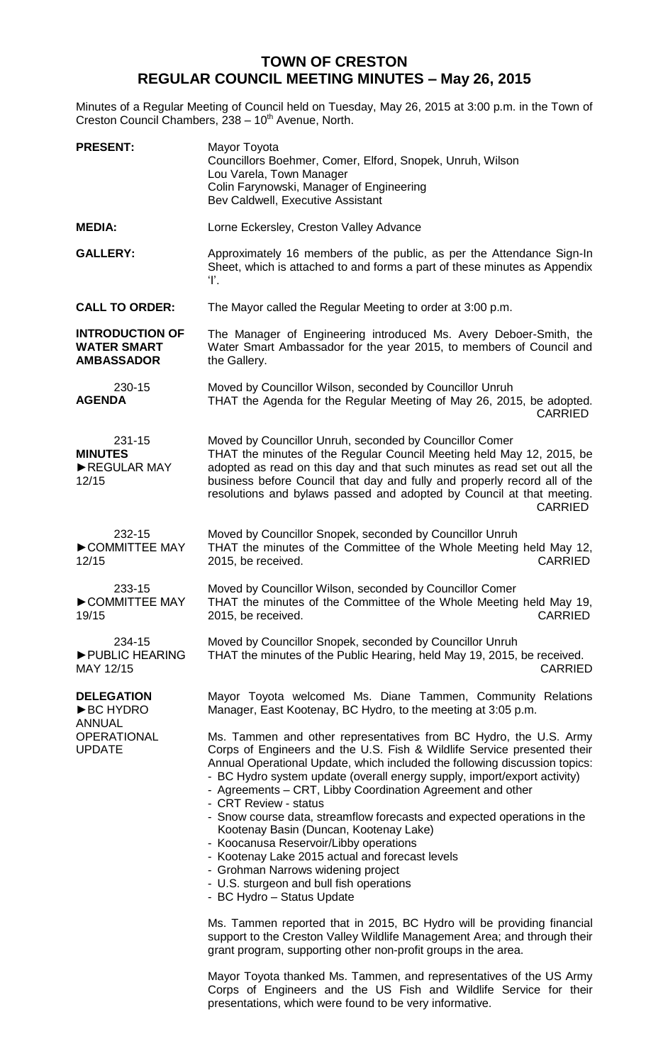## **TOWN OF CRESTON REGULAR COUNCIL MEETING MINUTES – May 26, 2015**

Minutes of a Regular Meeting of Council held on Tuesday, May 26, 2015 at 3:00 p.m. in the Town of Creston Council Chambers, 238 - 10<sup>th</sup> Avenue, North.

| <b>PRESENT:</b>                                                   | Mayor Toyota<br>Councillors Boehmer, Comer, Elford, Snopek, Unruh, Wilson<br>Lou Varela, Town Manager<br>Colin Farynowski, Manager of Engineering<br>Bev Caldwell, Executive Assistant                                                                                                                                                                                                                                                                                                                                                                                                                                                                                                                                                                                                                                                                                                 |
|-------------------------------------------------------------------|----------------------------------------------------------------------------------------------------------------------------------------------------------------------------------------------------------------------------------------------------------------------------------------------------------------------------------------------------------------------------------------------------------------------------------------------------------------------------------------------------------------------------------------------------------------------------------------------------------------------------------------------------------------------------------------------------------------------------------------------------------------------------------------------------------------------------------------------------------------------------------------|
| <b>MEDIA:</b>                                                     | Lorne Eckersley, Creston Valley Advance                                                                                                                                                                                                                                                                                                                                                                                                                                                                                                                                                                                                                                                                                                                                                                                                                                                |
| <b>GALLERY:</b>                                                   | Approximately 16 members of the public, as per the Attendance Sign-In<br>Sheet, which is attached to and forms a part of these minutes as Appendix<br>Ŧ.                                                                                                                                                                                                                                                                                                                                                                                                                                                                                                                                                                                                                                                                                                                               |
| <b>CALL TO ORDER:</b>                                             | The Mayor called the Regular Meeting to order at 3:00 p.m.                                                                                                                                                                                                                                                                                                                                                                                                                                                                                                                                                                                                                                                                                                                                                                                                                             |
| <b>INTRODUCTION OF</b><br><b>WATER SMART</b><br><b>AMBASSADOR</b> | The Manager of Engineering introduced Ms. Avery Deboer-Smith, the<br>Water Smart Ambassador for the year 2015, to members of Council and<br>the Gallery.                                                                                                                                                                                                                                                                                                                                                                                                                                                                                                                                                                                                                                                                                                                               |
| 230-15<br><b>AGENDA</b>                                           | Moved by Councillor Wilson, seconded by Councillor Unruh<br>THAT the Agenda for the Regular Meeting of May 26, 2015, be adopted.<br><b>CARRIED</b>                                                                                                                                                                                                                                                                                                                                                                                                                                                                                                                                                                                                                                                                                                                                     |
| 231-15<br><b>MINUTES</b><br>REGULAR MAY<br>12/15                  | Moved by Councillor Unruh, seconded by Councillor Comer<br>THAT the minutes of the Regular Council Meeting held May 12, 2015, be<br>adopted as read on this day and that such minutes as read set out all the<br>business before Council that day and fully and properly record all of the<br>resolutions and bylaws passed and adopted by Council at that meeting.<br><b>CARRIED</b>                                                                                                                                                                                                                                                                                                                                                                                                                                                                                                  |
| 232-15<br>COMMITTEE MAY<br>12/15                                  | Moved by Councillor Snopek, seconded by Councillor Unruh<br>THAT the minutes of the Committee of the Whole Meeting held May 12,<br><b>CARRIED</b><br>2015, be received.                                                                                                                                                                                                                                                                                                                                                                                                                                                                                                                                                                                                                                                                                                                |
| 233-15<br>COMMITTEE MAY<br>19/15                                  | Moved by Councillor Wilson, seconded by Councillor Comer<br>THAT the minutes of the Committee of the Whole Meeting held May 19,<br><b>CARRIED</b><br>2015, be received.                                                                                                                                                                                                                                                                                                                                                                                                                                                                                                                                                                                                                                                                                                                |
| 234-15<br>PUBLIC HEARING<br>MAY 12/15                             | Moved by Councillor Snopek, seconded by Councillor Unruh<br>THAT the minutes of the Public Hearing, held May 19, 2015, be received.<br><b>CARRIED</b>                                                                                                                                                                                                                                                                                                                                                                                                                                                                                                                                                                                                                                                                                                                                  |
| <b>DELEGATION</b><br><b>BC HYDRO</b><br><b>ANNUAL</b>             | Mayor Toyota welcomed Ms. Diane Tammen, Community Relations<br>Manager, East Kootenay, BC Hydro, to the meeting at 3:05 p.m.                                                                                                                                                                                                                                                                                                                                                                                                                                                                                                                                                                                                                                                                                                                                                           |
| <b>OPERATIONAL</b><br><b>UPDATE</b>                               | Ms. Tammen and other representatives from BC Hydro, the U.S. Army<br>Corps of Engineers and the U.S. Fish & Wildlife Service presented their<br>Annual Operational Update, which included the following discussion topics:<br>- BC Hydro system update (overall energy supply, import/export activity)<br>- Agreements – CRT, Libby Coordination Agreement and other<br>- CRT Review - status<br>- Snow course data, streamflow forecasts and expected operations in the<br>Kootenay Basin (Duncan, Kootenay Lake)<br>- Koocanusa Reservoir/Libby operations<br>- Kootenay Lake 2015 actual and forecast levels<br>- Grohman Narrows widening project<br>- U.S. sturgeon and bull fish operations<br>- BC Hydro - Status Update<br>Ms. Tammen reported that in 2015, BC Hydro will be providing financial<br>support to the Creston Valley Wildlife Management Area; and through their |
|                                                                   | grant program, supporting other non-profit groups in the area.                                                                                                                                                                                                                                                                                                                                                                                                                                                                                                                                                                                                                                                                                                                                                                                                                         |

Mayor Toyota thanked Ms. Tammen, and representatives of the US Army Corps of Engineers and the US Fish and Wildlife Service for their presentations, which were found to be very informative.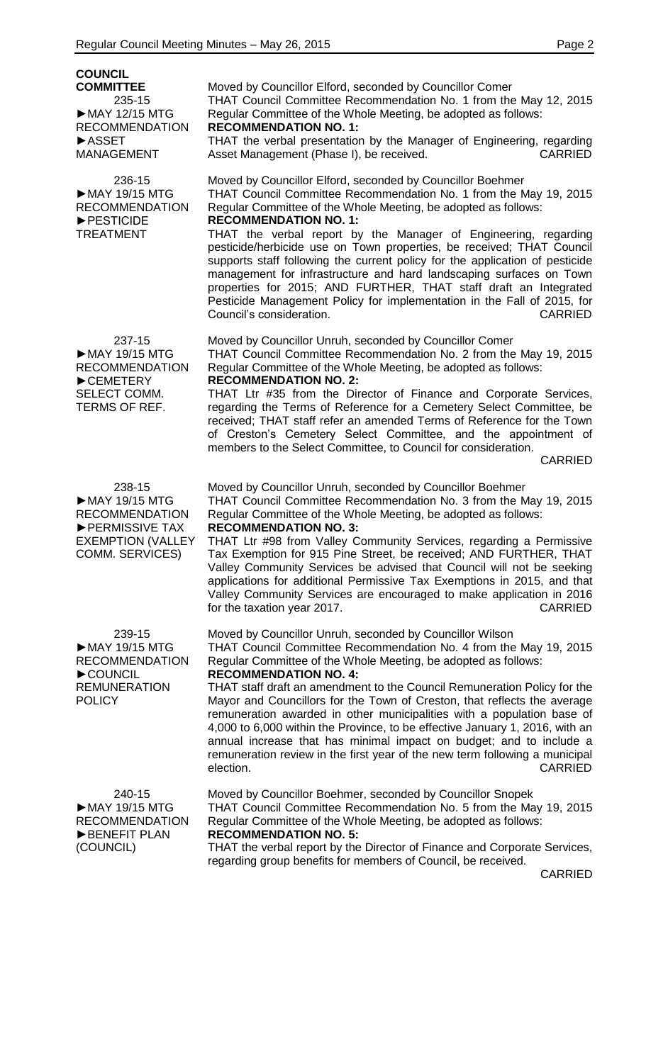| <b>COUNCIL</b><br><b>COMMITTEE</b><br>235-15<br>MAY 12/15 MTG<br><b>RECOMMENDATION</b><br><b>ASSET</b><br><b>MANAGEMENT</b> | Moved by Councillor Elford, seconded by Councillor Comer<br>THAT Council Committee Recommendation No. 1 from the May 12, 2015<br>Regular Committee of the Whole Meeting, be adopted as follows:<br><b>RECOMMENDATION NO. 1:</b><br>THAT the verbal presentation by the Manager of Engineering, regarding<br><b>CARRIED</b><br>Asset Management (Phase I), be received.                                                                                                                                                                                                                                                                                                                                                                 |
|-----------------------------------------------------------------------------------------------------------------------------|----------------------------------------------------------------------------------------------------------------------------------------------------------------------------------------------------------------------------------------------------------------------------------------------------------------------------------------------------------------------------------------------------------------------------------------------------------------------------------------------------------------------------------------------------------------------------------------------------------------------------------------------------------------------------------------------------------------------------------------|
| 236-15<br>MAY 19/15 MTG<br><b>RECOMMENDATION</b><br>PESTICIDE<br><b>TREATMENT</b>                                           | Moved by Councillor Elford, seconded by Councillor Boehmer<br>THAT Council Committee Recommendation No. 1 from the May 19, 2015<br>Regular Committee of the Whole Meeting, be adopted as follows:<br><b>RECOMMENDATION NO. 1:</b><br>THAT the verbal report by the Manager of Engineering, regarding<br>pesticide/herbicide use on Town properties, be received; THAT Council<br>supports staff following the current policy for the application of pesticide<br>management for infrastructure and hard landscaping surfaces on Town<br>properties for 2015; AND FURTHER, THAT staff draft an Integrated<br>Pesticide Management Policy for implementation in the Fall of 2015, for<br>Council's consideration.<br><b>CARRIED</b>      |
| 237-15<br>MAY 19/15 MTG<br><b>RECOMMENDATION</b><br>CEMETERY<br>SELECT COMM.<br>TERMS OF REF.                               | Moved by Councillor Unruh, seconded by Councillor Comer<br>THAT Council Committee Recommendation No. 2 from the May 19, 2015<br>Regular Committee of the Whole Meeting, be adopted as follows:<br><b>RECOMMENDATION NO. 2:</b><br>THAT Ltr #35 from the Director of Finance and Corporate Services,<br>regarding the Terms of Reference for a Cemetery Select Committee, be<br>received; THAT staff refer an amended Terms of Reference for the Town<br>of Creston's Cemetery Select Committee, and the appointment of<br>members to the Select Committee, to Council for consideration.<br><b>CARRIED</b>                                                                                                                             |
| 238-15<br>MAY 19/15 MTG<br><b>RECOMMENDATION</b><br>▶ PERMISSIVE TAX<br><b>EXEMPTION (VALLEY</b><br><b>COMM. SERVICES)</b>  | Moved by Councillor Unruh, seconded by Councillor Boehmer<br>THAT Council Committee Recommendation No. 3 from the May 19, 2015<br>Regular Committee of the Whole Meeting, be adopted as follows:<br><b>RECOMMENDATION NO. 3:</b><br>THAT Ltr #98 from Valley Community Services, regarding a Permissive<br>Tax Exemption for 915 Pine Street, be received; AND FURTHER, THAT<br>Valley Community Services be advised that Council will not be seeking<br>applications for additional Permissive Tax Exemptions in 2015, and that<br>Valley Community Services are encouraged to make application in 2016<br>for the taxation year 2017.<br><b>CARRIED</b>                                                                              |
| 239-15<br>MAY 19/15 MTG<br><b>RECOMMENDATION</b><br>COUNCIL<br><b>REMUNERATION</b><br><b>POLICY</b>                         | Moved by Councillor Unruh, seconded by Councillor Wilson<br>THAT Council Committee Recommendation No. 4 from the May 19, 2015<br>Regular Committee of the Whole Meeting, be adopted as follows:<br><b>RECOMMENDATION NO. 4:</b><br>THAT staff draft an amendment to the Council Remuneration Policy for the<br>Mayor and Councillors for the Town of Creston, that reflects the average<br>remuneration awarded in other municipalities with a population base of<br>4,000 to 6,000 within the Province, to be effective January 1, 2016, with an<br>annual increase that has minimal impact on budget; and to include a<br>remuneration review in the first year of the new term following a municipal<br>election.<br><b>CARRIED</b> |
| 240-15<br>MAY 19/15 MTG<br><b>RECOMMENDATION</b><br>BENEFIT PLAN<br>(COUNCIL)                                               | Moved by Councillor Boehmer, seconded by Councillor Snopek<br>THAT Council Committee Recommendation No. 5 from the May 19, 2015<br>Regular Committee of the Whole Meeting, be adopted as follows:<br><b>RECOMMENDATION NO. 5:</b><br>THAT the verbal report by the Director of Finance and Corporate Services,<br>regarding group benefits for members of Council, be received.                                                                                                                                                                                                                                                                                                                                                        |

CARRIED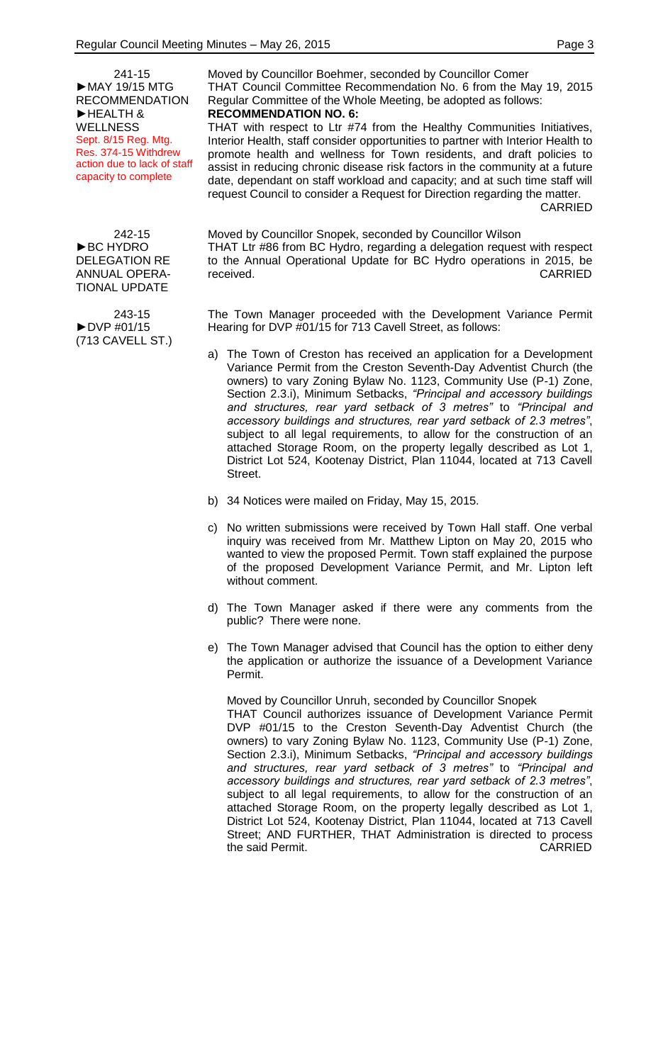241-15 ►MAY 19/15 MTG RECOMMENDATION ►HEALTH & WELLNESS Sept. 8/15 Reg. Mtg. Res. 374-15 Withdrew action due to lack of staff capacity to complete

242-15 ►BC HYDRO DELEGATION RE ANNUAL OPERA-TIONAL UPDATE

243-15 ►DVP #01/15 (713 CAVELL ST.) Moved by Councillor Boehmer, seconded by Councillor Comer THAT Council Committee Recommendation No. 6 from the May 19, 2015 Regular Committee of the Whole Meeting, be adopted as follows: **RECOMMENDATION NO. 6:**

THAT with respect to Ltr #74 from the Healthy Communities Initiatives, Interior Health, staff consider opportunities to partner with Interior Health to promote health and wellness for Town residents, and draft policies to assist in reducing chronic disease risk factors in the community at a future date, dependant on staff workload and capacity; and at such time staff will request Council to consider a Request for Direction regarding the matter. CARRIED

Moved by Councillor Snopek, seconded by Councillor Wilson THAT Ltr #86 from BC Hydro, regarding a delegation request with respect to the Annual Operational Update for BC Hydro operations in 2015, be received. CARRIED

The Town Manager proceeded with the Development Variance Permit Hearing for DVP #01/15 for 713 Cavell Street, as follows:

- a) The Town of Creston has received an application for a Development Variance Permit from the Creston Seventh-Day Adventist Church (the owners) to vary Zoning Bylaw No. 1123, Community Use (P-1) Zone, Section 2.3.i), Minimum Setbacks, *"Principal and accessory buildings and structures, rear yard setback of 3 metres"* to *"Principal and accessory buildings and structures, rear yard setback of 2.3 metres"*, subject to all legal requirements, to allow for the construction of an attached Storage Room, on the property legally described as Lot 1, District Lot 524, Kootenay District, Plan 11044, located at 713 Cavell Street.
- b) 34 Notices were mailed on Friday, May 15, 2015.
- c) No written submissions were received by Town Hall staff. One verbal inquiry was received from Mr. Matthew Lipton on May 20, 2015 who wanted to view the proposed Permit. Town staff explained the purpose of the proposed Development Variance Permit, and Mr. Lipton left without comment.
- d) The Town Manager asked if there were any comments from the public? There were none.
- e) The Town Manager advised that Council has the option to either deny the application or authorize the issuance of a Development Variance Permit.

Moved by Councillor Unruh, seconded by Councillor Snopek THAT Council authorizes issuance of Development Variance Permit DVP #01/15 to the Creston Seventh-Day Adventist Church (the owners) to vary Zoning Bylaw No. 1123, Community Use (P-1) Zone, Section 2.3.i), Minimum Setbacks, *"Principal and accessory buildings and structures, rear yard setback of 3 metres"* to *"Principal and accessory buildings and structures, rear yard setback of 2.3 metres"*, subject to all legal requirements, to allow for the construction of an attached Storage Room, on the property legally described as Lot 1, District Lot 524, Kootenay District, Plan 11044, located at 713 Cavell Street; AND FURTHER, THAT Administration is directed to process the said Permit. The said Permit.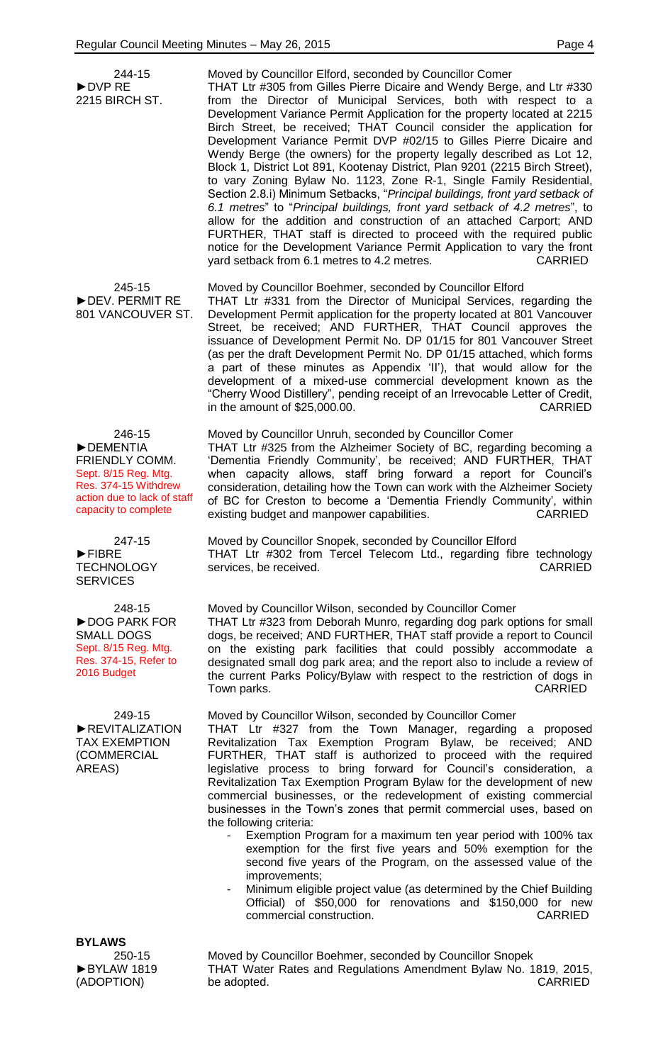| 244-15<br>$\triangleright$ DVP RE<br>2215 BIRCH ST.                                                                                                | Moved by Councillor Elford, seconded by Councillor Comer<br>THAT Ltr #305 from Gilles Pierre Dicaire and Wendy Berge, and Ltr #330<br>from the Director of Municipal Services, both with respect to a<br>Development Variance Permit Application for the property located at 2215<br>Birch Street, be received; THAT Council consider the application for<br>Development Variance Permit DVP #02/15 to Gilles Pierre Dicaire and<br>Wendy Berge (the owners) for the property legally described as Lot 12,<br>Block 1, District Lot 891, Kootenay District, Plan 9201 (2215 Birch Street),<br>to vary Zoning Bylaw No. 1123, Zone R-1, Single Family Residential,<br>Section 2.8.i) Minimum Setbacks, "Principal buildings, front yard setback of<br>6.1 metres" to "Principal buildings, front yard setback of 4.2 metres", to<br>allow for the addition and construction of an attached Carport; AND<br>FURTHER, THAT staff is directed to proceed with the required public<br>notice for the Development Variance Permit Application to vary the front<br>yard setback from 6.1 metres to 4.2 metres.<br><b>CARRIED</b> |
|----------------------------------------------------------------------------------------------------------------------------------------------------|----------------------------------------------------------------------------------------------------------------------------------------------------------------------------------------------------------------------------------------------------------------------------------------------------------------------------------------------------------------------------------------------------------------------------------------------------------------------------------------------------------------------------------------------------------------------------------------------------------------------------------------------------------------------------------------------------------------------------------------------------------------------------------------------------------------------------------------------------------------------------------------------------------------------------------------------------------------------------------------------------------------------------------------------------------------------------------------------------------------------------|
| 245-15<br>DEV. PERMIT RE<br>801 VANCOUVER ST.                                                                                                      | Moved by Councillor Boehmer, seconded by Councillor Elford<br>THAT Ltr #331 from the Director of Municipal Services, regarding the<br>Development Permit application for the property located at 801 Vancouver<br>Street, be received; AND FURTHER, THAT Council approves the<br>issuance of Development Permit No. DP 01/15 for 801 Vancouver Street<br>(as per the draft Development Permit No. DP 01/15 attached, which forms<br>a part of these minutes as Appendix 'II'), that would allow for the<br>development of a mixed-use commercial development known as the<br>"Cherry Wood Distillery", pending receipt of an Irrevocable Letter of Credit,<br>in the amount of \$25,000.00.<br><b>CARRIED</b>                                                                                                                                                                                                                                                                                                                                                                                                              |
| 246-15<br>DEMENTIA<br><b>FRIENDLY COMM.</b><br>Sept. 8/15 Reg. Mtg.<br>Res. 374-15 Withdrew<br>action due to lack of staff<br>capacity to complete | Moved by Councillor Unruh, seconded by Councillor Comer<br>THAT Ltr #325 from the Alzheimer Society of BC, regarding becoming a<br>'Dementia Friendly Community', be received; AND FURTHER, THAT<br>when capacity allows, staff bring forward a report for Council's<br>consideration, detailing how the Town can work with the Alzheimer Society<br>of BC for Creston to become a 'Dementia Friendly Community', within<br>existing budget and manpower capabilities.<br><b>CARRIED</b>                                                                                                                                                                                                                                                                                                                                                                                                                                                                                                                                                                                                                                   |
| 247-15<br>$\blacktriangleright$ FIBRE<br><b>TECHNOLOGY</b><br><b>SERVICES</b>                                                                      | Moved by Councillor Snopek, seconded by Councillor Elford<br>THAT Ltr #302 from Tercel Telecom Ltd., regarding fibre technology<br><b>CARRIED</b><br>services, be received.                                                                                                                                                                                                                                                                                                                                                                                                                                                                                                                                                                                                                                                                                                                                                                                                                                                                                                                                                |
| 248-15<br>DOG PARK FOR<br><b>SMALL DOGS</b><br>Sept. 8/15 Reg. Mtg.<br>Res. 374-15, Refer to<br>2016 Budget                                        | Moved by Councillor Wilson, seconded by Councillor Comer<br>THAT Ltr #323 from Deborah Munro, regarding dog park options for small<br>dogs, be received; AND FURTHER, THAT staff provide a report to Council<br>on the existing park facilities that could possibly accommodate a<br>designated small dog park area; and the report also to include a review of<br>the current Parks Policy/Bylaw with respect to the restriction of dogs in<br><b>CARRIED</b><br>Town parks.                                                                                                                                                                                                                                                                                                                                                                                                                                                                                                                                                                                                                                              |
| 249-15<br>REVITALIZATION<br><b>TAX EXEMPTION</b><br>(COMMERCIAL<br>AREAS)                                                                          | Moved by Councillor Wilson, seconded by Councillor Comer<br>THAT Ltr #327 from the Town Manager, regarding a proposed<br>Revitalization Tax Exemption Program Bylaw, be received; AND<br>FURTHER, THAT staff is authorized to proceed with the required<br>legislative process to bring forward for Council's consideration, a<br>Revitalization Tax Exemption Program Bylaw for the development of new<br>commercial businesses, or the redevelopment of existing commercial<br>businesses in the Town's zones that permit commercial uses, based on<br>the following criteria:<br>Exemption Program for a maximum ten year period with 100% tax<br>exemption for the first five years and 50% exemption for the<br>second five years of the Program, on the assessed value of the<br>improvements;<br>Minimum eligible project value (as determined by the Chief Building                                                                                                                                                                                                                                                |
|                                                                                                                                                    | Official) of \$50,000 for renovations and \$150,000 for new<br><b>CARRIED</b><br>commercial construction.                                                                                                                                                                                                                                                                                                                                                                                                                                                                                                                                                                                                                                                                                                                                                                                                                                                                                                                                                                                                                  |
| <b>BYLAWS</b><br>250-15                                                                                                                            | Moved by Councillor Boehmer, seconded by Councillor Snopek                                                                                                                                                                                                                                                                                                                                                                                                                                                                                                                                                                                                                                                                                                                                                                                                                                                                                                                                                                                                                                                                 |
| BYLAW 1819<br>(ADOPTION)                                                                                                                           | THAT Water Rates and Regulations Amendment Bylaw No. 1819, 2015,<br>be adopted.<br><b>CARRIED</b>                                                                                                                                                                                                                                                                                                                                                                                                                                                                                                                                                                                                                                                                                                                                                                                                                                                                                                                                                                                                                          |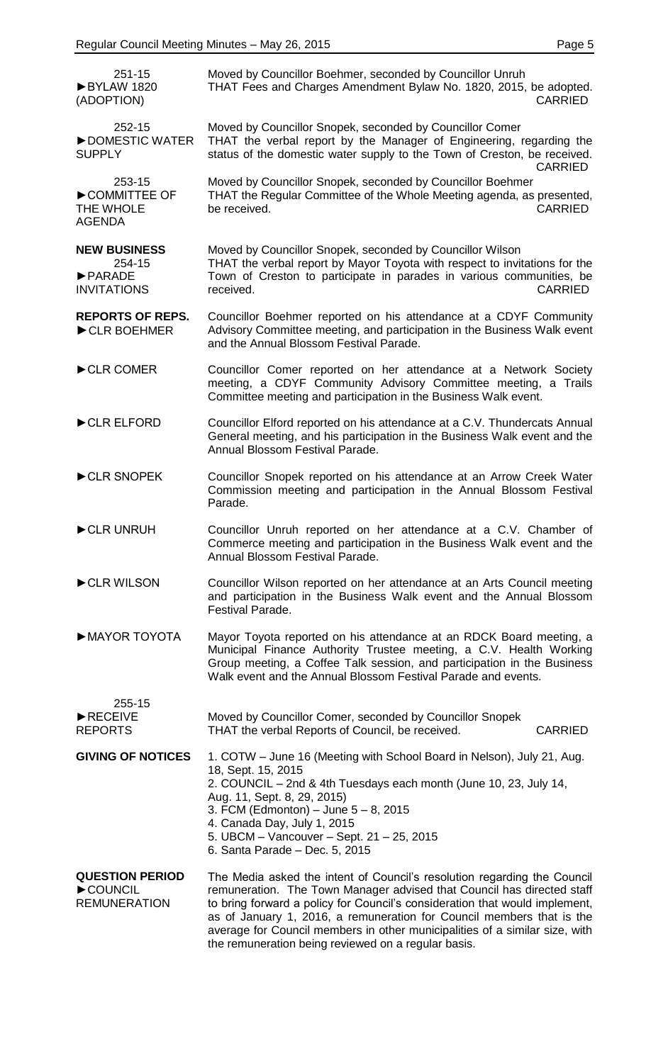| 251-15<br>BYLAW 1820<br>(ADOPTION)                                                  | Moved by Councillor Boehmer, seconded by Councillor Unruh<br>THAT Fees and Charges Amendment Bylaw No. 1820, 2015, be adopted.<br><b>CARRIED</b>                                                                                                                                                                                                                                                                                                 |
|-------------------------------------------------------------------------------------|--------------------------------------------------------------------------------------------------------------------------------------------------------------------------------------------------------------------------------------------------------------------------------------------------------------------------------------------------------------------------------------------------------------------------------------------------|
| 252-15<br>DOMESTIC WATER<br><b>SUPPLY</b>                                           | Moved by Councillor Snopek, seconded by Councillor Comer<br>THAT the verbal report by the Manager of Engineering, regarding the<br>status of the domestic water supply to the Town of Creston, be received.<br><b>CARRIED</b>                                                                                                                                                                                                                    |
| 253-15<br>COMMITTEE OF<br>THE WHOLE<br><b>AGENDA</b>                                | Moved by Councillor Snopek, seconded by Councillor Boehmer<br>THAT the Regular Committee of the Whole Meeting agenda, as presented,<br>be received.<br><b>CARRIED</b>                                                                                                                                                                                                                                                                            |
| <b>NEW BUSINESS</b><br>254-15<br>$\blacktriangleright$ PARADE<br><b>INVITATIONS</b> | Moved by Councillor Snopek, seconded by Councillor Wilson<br>THAT the verbal report by Mayor Toyota with respect to invitations for the<br>Town of Creston to participate in parades in various communities, be<br>received.<br><b>CARRIED</b>                                                                                                                                                                                                   |
| <b>REPORTS OF REPS.</b><br>CLR BOEHMER                                              | Councillor Boehmer reported on his attendance at a CDYF Community<br>Advisory Committee meeting, and participation in the Business Walk event<br>and the Annual Blossom Festival Parade.                                                                                                                                                                                                                                                         |
| CLR COMER                                                                           | Councillor Comer reported on her attendance at a Network Society<br>meeting, a CDYF Community Advisory Committee meeting, a Trails<br>Committee meeting and participation in the Business Walk event.                                                                                                                                                                                                                                            |
| CLR ELFORD                                                                          | Councillor Elford reported on his attendance at a C.V. Thundercats Annual<br>General meeting, and his participation in the Business Walk event and the<br>Annual Blossom Festival Parade.                                                                                                                                                                                                                                                        |
| CLR SNOPEK                                                                          | Councillor Snopek reported on his attendance at an Arrow Creek Water<br>Commission meeting and participation in the Annual Blossom Festival<br>Parade.                                                                                                                                                                                                                                                                                           |
| CLR UNRUH                                                                           | Councillor Unruh reported on her attendance at a C.V. Chamber of<br>Commerce meeting and participation in the Business Walk event and the<br>Annual Blossom Festival Parade.                                                                                                                                                                                                                                                                     |
| CLR WILSON                                                                          | Councillor Wilson reported on her attendance at an Arts Council meeting<br>and participation in the Business Walk event and the Annual Blossom<br>Festival Parade.                                                                                                                                                                                                                                                                               |
| MAYOR TOYOTA                                                                        | Mayor Toyota reported on his attendance at an RDCK Board meeting, a<br>Municipal Finance Authority Trustee meeting, a C.V. Health Working<br>Group meeting, a Coffee Talk session, and participation in the Business<br>Walk event and the Annual Blossom Festival Parade and events.                                                                                                                                                            |
| 255-15<br>RECEIVE<br><b>REPORTS</b>                                                 | Moved by Councillor Comer, seconded by Councillor Snopek<br>THAT the verbal Reports of Council, be received.<br><b>CARRIED</b>                                                                                                                                                                                                                                                                                                                   |
| <b>GIVING OF NOTICES</b>                                                            | 1. COTW - June 16 (Meeting with School Board in Nelson), July 21, Aug.<br>18, Sept. 15, 2015<br>2. COUNCIL – 2nd & 4th Tuesdays each month (June 10, 23, July 14,<br>Aug. 11, Sept. 8, 29, 2015)<br>3. FCM (Edmonton) – June $5 - 8$ , 2015<br>4. Canada Day, July 1, 2015<br>5. UBCM - Vancouver - Sept. 21 - 25, 2015<br>6. Santa Parade - Dec. 5, 2015                                                                                        |
| <b>QUESTION PERIOD</b><br>COUNCIL<br><b>REMUNERATION</b>                            | The Media asked the intent of Council's resolution regarding the Council<br>remuneration. The Town Manager advised that Council has directed staff<br>to bring forward a policy for Council's consideration that would implement,<br>as of January 1, 2016, a remuneration for Council members that is the<br>average for Council members in other municipalities of a similar size, with<br>the remuneration being reviewed on a regular basis. |